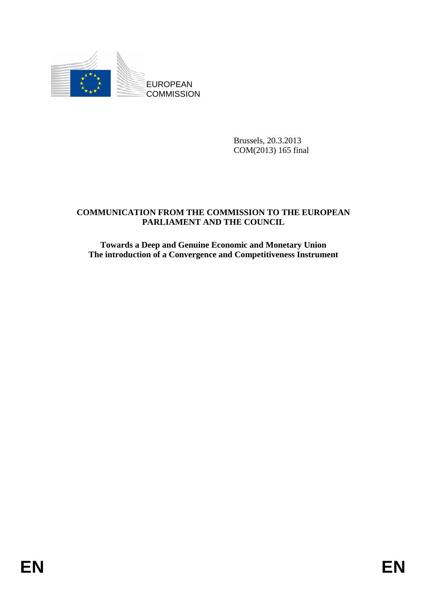

Brussels, 20.3.2013 COM(2013) 165 final

## **COMMUNICATION FROM THE COMMISSION TO THE EUROPEAN PARLIAMENT AND THE COUNCIL**

**Towards a Deep and Genuine Economic and Monetary Union The introduction of a Convergence and Competitiveness Instrument**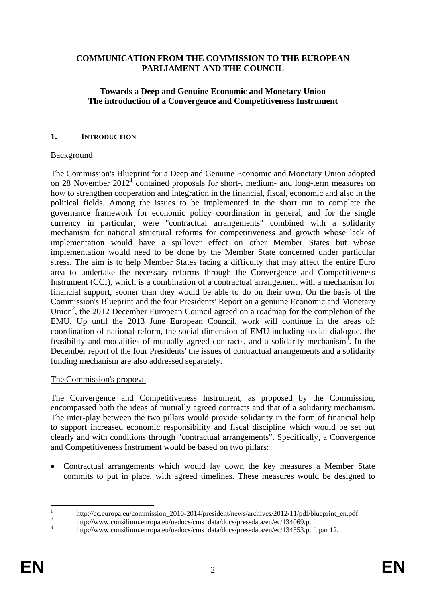### **COMMUNICATION FROM THE COMMISSION TO THE EUROPEAN PARLIAMENT AND THE COUNCIL**

### **Towards a Deep and Genuine Economic and Monetary Union The introduction of a Convergence and Competitiveness Instrument**

#### **1. INTRODUCTION**

#### Background

The Commission's Blueprint for a Deep and Genuine Economic and Monetary Union adopted on 28 November  $2012<sup>1</sup>$  contained proposals for short-, medium- and long-term measures on how to strengthen cooperation and integration in the financial, fiscal, economic and also in the political fields. Among the issues to be implemented in the short run to complete the governance framework for economic policy coordination in general, and for the single currency in particular, were "contractual arrangements" combined with a solidarity mechanism for national structural reforms for competitiveness and growth whose lack of implementation would have a spillover effect on other Member States but whose implementation would need to be done by the Member State concerned under particular stress. The aim is to help Member States facing a difficulty that may affect the entire Euro area to undertake the necessary reforms through the Convergence and Competitiveness Instrument (CCI), which is a combination of a contractual arrangement with a mechanism for financial support, sooner than they would be able to do on their own. On the basis of the Commission's Blueprint and the four Presidents' Report on a genuine Economic and Monetary Union<sup>2</sup>, the 2012 December European Council agreed on a roadmap for the completion of the EMU. Up until the 2013 June European Council, work will continue in the areas of: coordination of national reform, the social dimension of EMU including social dialogue, the feasibility and modalities of mutually agreed contracts, and a solidarity mechanism<sup>3</sup>. In the December report of the four Presidents' the issues of contractual arrangements and a solidarity funding mechanism are also addressed separately.

#### The Commission's proposal

The Convergence and Competitiveness Instrument, as proposed by the Commission, encompassed both the ideas of mutually agreed contracts and that of a solidarity mechanism. The inter-play between the two pillars would provide solidarity in the form of financial help to support increased economic responsibility and fiscal discipline which would be set out clearly and with conditions through "contractual arrangements". Specifically, a Convergence and Competitiveness Instrument would be based on two pillars:

• Contractual arrangements which would lay down the key measures a Member State commits to put in place, with agreed timelines. These measures would be designed to

 $\frac{1}{1}$ http://ec.europa.eu/commission\_2010-2014/president/news/archives/2012/11/pdf/blueprint\_en.pdf 2

http://www.consilium.europa.eu/uedocs/cms\_data/docs/pressdata/en/ec/134069.pdf

<sup>3</sup> http://www.consilium.europa.eu/uedocs/cms\_data/docs/pressdata/en/ec/134353.pdf, par 12.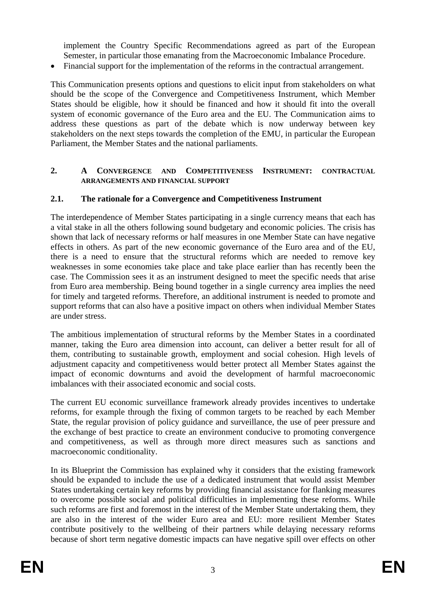implement the Country Specific Recommendations agreed as part of the European Semester, in particular those emanating from the Macroeconomic Imbalance Procedure.

• Financial support for the implementation of the reforms in the contractual arrangement.

This Communication presents options and questions to elicit input from stakeholders on what should be the scope of the Convergence and Competitiveness Instrument, which Member States should be eligible, how it should be financed and how it should fit into the overall system of economic governance of the Euro area and the EU. The Communication aims to address these questions as part of the debate which is now underway between key stakeholders on the next steps towards the completion of the EMU, in particular the European Parliament, the Member States and the national parliaments.

### **2. A CONVERGENCE AND COMPETITIVENESS INSTRUMENT: CONTRACTUAL ARRANGEMENTS AND FINANCIAL SUPPORT**

### **2.1. The rationale for a Convergence and Competitiveness Instrument**

The interdependence of Member States participating in a single currency means that each has a vital stake in all the others following sound budgetary and economic policies. The crisis has shown that lack of necessary reforms or half measures in one Member State can have negative effects in others. As part of the new economic governance of the Euro area and of the EU, there is a need to ensure that the structural reforms which are needed to remove key weaknesses in some economies take place and take place earlier than has recently been the case. The Commission sees it as an instrument designed to meet the specific needs that arise from Euro area membership. Being bound together in a single currency area implies the need for timely and targeted reforms. Therefore, an additional instrument is needed to promote and support reforms that can also have a positive impact on others when individual Member States are under stress.

The ambitious implementation of structural reforms by the Member States in a coordinated manner, taking the Euro area dimension into account, can deliver a better result for all of them, contributing to sustainable growth, employment and social cohesion. High levels of adjustment capacity and competitiveness would better protect all Member States against the impact of economic downturns and avoid the development of harmful macroeconomic imbalances with their associated economic and social costs.

The current EU economic surveillance framework already provides incentives to undertake reforms, for example through the fixing of common targets to be reached by each Member State, the regular provision of policy guidance and surveillance, the use of peer pressure and the exchange of best practice to create an environment conducive to promoting convergence and competitiveness, as well as through more direct measures such as sanctions and macroeconomic conditionality.

In its Blueprint the Commission has explained why it considers that the existing framework should be expanded to include the use of a dedicated instrument that would assist Member States undertaking certain key reforms by providing financial assistance for flanking measures to overcome possible social and political difficulties in implementing these reforms. While such reforms are first and foremost in the interest of the Member State undertaking them, they are also in the interest of the wider Euro area and EU: more resilient Member States contribute positively to the wellbeing of their partners while delaying necessary reforms because of short term negative domestic impacts can have negative spill over effects on other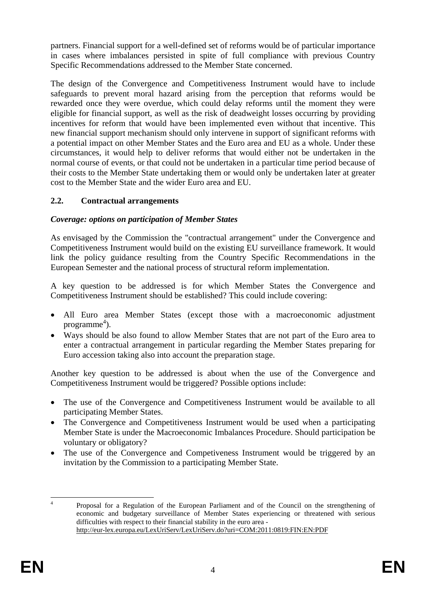partners. Financial support for a well-defined set of reforms would be of particular importance in cases where imbalances persisted in spite of full compliance with previous Country Specific Recommendations addressed to the Member State concerned.

The design of the Convergence and Competitiveness Instrument would have to include safeguards to prevent moral hazard arising from the perception that reforms would be rewarded once they were overdue, which could delay reforms until the moment they were eligible for financial support, as well as the risk of deadweight losses occurring by providing incentives for reform that would have been implemented even without that incentive. This new financial support mechanism should only intervene in support of significant reforms with a potential impact on other Member States and the Euro area and EU as a whole. Under these circumstances, it would help to deliver reforms that would either not be undertaken in the normal course of events, or that could not be undertaken in a particular time period because of their costs to the Member State undertaking them or would only be undertaken later at greater cost to the Member State and the wider Euro area and EU.

# **2.2. Contractual arrangements**

# *Coverage: options on participation of Member States*

As envisaged by the Commission the "contractual arrangement" under the Convergence and Competitiveness Instrument would build on the existing EU surveillance framework. It would link the policy guidance resulting from the Country Specific Recommendations in the European Semester and the national process of structural reform implementation.

A key question to be addressed is for which Member States the Convergence and Competitiveness Instrument should be established? This could include covering:

- All Euro area Member States (except those with a macroeconomic adjustment  $programme<sup>4</sup>$ ).
- Ways should be also found to allow Member States that are not part of the Euro area to enter a contractual arrangement in particular regarding the Member States preparing for Euro accession taking also into account the preparation stage.

Another key question to be addressed is about when the use of the Convergence and Competitiveness Instrument would be triggered? Possible options include:

- The use of the Convergence and Competitiveness Instrument would be available to all participating Member States.
- The Convergence and Competitiveness Instrument would be used when a participating Member State is under the Macroeconomic Imbalances Procedure. Should participation be voluntary or obligatory?
- The use of the Convergence and Competiveness Instrument would be triggered by an invitation by the Commission to a participating Member State.

 $\frac{1}{4}$  Proposal for a Regulation of the European Parliament and of the Council on the strengthening of economic and budgetary surveillance of Member States experiencing or threatened with serious difficulties with respect to their financial stability in the euro area <http://eur-lex.europa.eu/LexUriServ/LexUriServ.do?uri=COM:2011:0819:FIN:EN:PDF>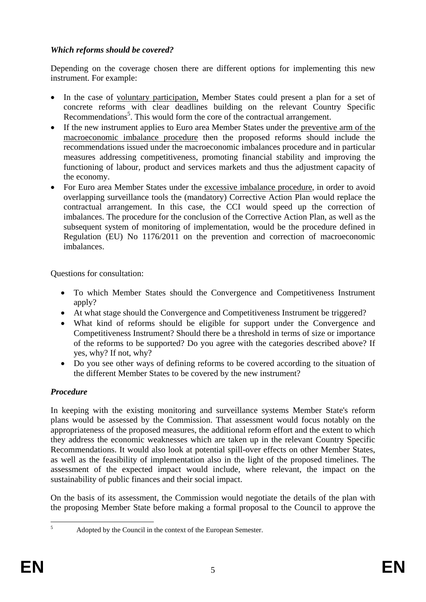# *Which reforms should be covered?*

Depending on the coverage chosen there are different options for implementing this new instrument. For example:

- In the case of voluntary participation, Member States could present a plan for a set of concrete reforms with clear deadlines building on the relevant Country Specific Recommendations<sup>5</sup>. This would form the core of the contractual arrangement.
- If the new instrument applies to Euro area Member States under the preventive arm of the macroeconomic imbalance procedure then the proposed reforms should include the recommendations issued under the macroeconomic imbalances procedure and in particular measures addressing competitiveness, promoting financial stability and improving the functioning of labour, product and services markets and thus the adjustment capacity of the economy.
- For Euro area Member States under the excessive imbalance procedure, in order to avoid overlapping surveillance tools the (mandatory) Corrective Action Plan would replace the contractual arrangement. In this case, the CCI would speed up the correction of imbalances. The procedure for the conclusion of the Corrective Action Plan, as well as the subsequent system of monitoring of implementation, would be the procedure defined in Regulation (EU) No 1176/2011 on the prevention and correction of macroeconomic imbalances.

Questions for consultation:

- To which Member States should the Convergence and Competitiveness Instrument apply?
- At what stage should the Convergence and Competitiveness Instrument be triggered?
- What kind of reforms should be eligible for support under the Convergence and Competitiveness Instrument? Should there be a threshold in terms of size or importance of the reforms to be supported? Do you agree with the categories described above? If yes, why? If not, why?
- Do you see other ways of defining reforms to be covered according to the situation of the different Member States to be covered by the new instrument?

# *Procedure*

In keeping with the existing monitoring and surveillance systems Member State's reform plans would be assessed by the Commission. That assessment would focus notably on the appropriateness of the proposed measures, the additional reform effort and the extent to which they address the economic weaknesses which are taken up in the relevant Country Specific Recommendations. It would also look at potential spill-over effects on other Member States, as well as the feasibility of implementation also in the light of the proposed timelines. The assessment of the expected impact would include, where relevant, the impact on the sustainability of public finances and their social impact.

On the basis of its assessment, the Commission would negotiate the details of the plan with the proposing Member State before making a formal proposal to the Council to approve the

 $\frac{1}{5}$ 

Adopted by the Council in the context of the European Semester.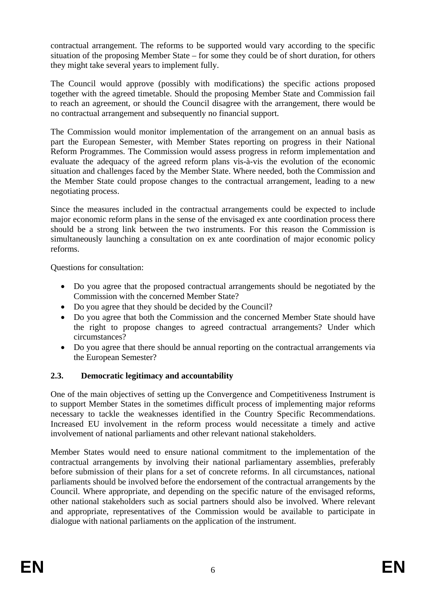contractual arrangement. The reforms to be supported would vary according to the specific situation of the proposing Member State – for some they could be of short duration, for others they might take several years to implement fully.

The Council would approve (possibly with modifications) the specific actions proposed together with the agreed timetable. Should the proposing Member State and Commission fail to reach an agreement, or should the Council disagree with the arrangement, there would be no contractual arrangement and subsequently no financial support.

The Commission would monitor implementation of the arrangement on an annual basis as part the European Semester, with Member States reporting on progress in their National Reform Programmes. The Commission would assess progress in reform implementation and evaluate the adequacy of the agreed reform plans vis-à-vis the evolution of the economic situation and challenges faced by the Member State. Where needed, both the Commission and the Member State could propose changes to the contractual arrangement, leading to a new negotiating process.

Since the measures included in the contractual arrangements could be expected to include major economic reform plans in the sense of the envisaged ex ante coordination process there should be a strong link between the two instruments. For this reason the Commission is simultaneously launching a consultation on ex ante coordination of major economic policy reforms.

Questions for consultation:

- Do you agree that the proposed contractual arrangements should be negotiated by the Commission with the concerned Member State?
- Do you agree that they should be decided by the Council?
- Do you agree that both the Commission and the concerned Member State should have the right to propose changes to agreed contractual arrangements? Under which circumstances?
- Do you agree that there should be annual reporting on the contractual arrangements via the European Semester?

## **2.3. Democratic legitimacy and accountability**

One of the main objectives of setting up the Convergence and Competitiveness Instrument is to support Member States in the sometimes difficult process of implementing major reforms necessary to tackle the weaknesses identified in the Country Specific Recommendations. Increased EU involvement in the reform process would necessitate a timely and active involvement of national parliaments and other relevant national stakeholders.

Member States would need to ensure national commitment to the implementation of the contractual arrangements by involving their national parliamentary assemblies, preferably before submission of their plans for a set of concrete reforms. In all circumstances, national parliaments should be involved before the endorsement of the contractual arrangements by the Council. Where appropriate, and depending on the specific nature of the envisaged reforms, other national stakeholders such as social partners should also be involved. Where relevant and appropriate, representatives of the Commission would be available to participate in dialogue with national parliaments on the application of the instrument.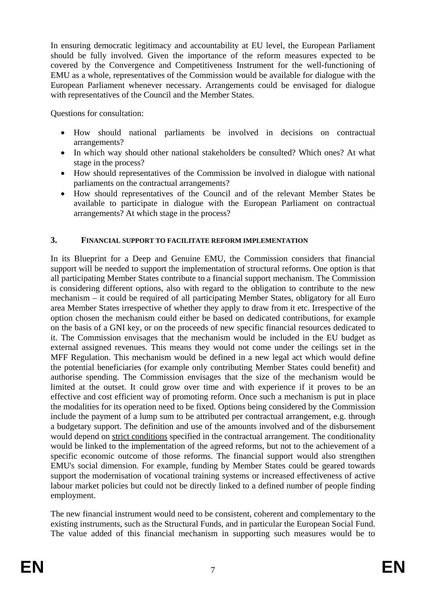In ensuring democratic legitimacy and accountability at EU level, the European Parliament should be fully involved. Given the importance of the reform measures expected to be covered by the Convergence and Competitiveness Instrument for the well-functioning of EMU as a whole, representatives of the Commission would be available for dialogue with the European Parliament whenever necessary. Arrangements could be envisaged for dialogue with representatives of the Council and the Member States.

Questions for consultation:

- How should national parliaments be involved in decisions on contractual arrangements?
- In which way should other national stakeholders be consulted? Which ones? At what stage in the process?
- How should representatives of the Commission be involved in dialogue with national parliaments on the contractual arrangements?
- How should representatives of the Council and of the relevant Member States be available to participate in dialogue with the European Parliament on contractual arrangements? At which stage in the process?

#### **3. FINANCIAL SUPPORT TO FACILITATE REFORM IMPLEMENTATION**

In its Blueprint for a Deep and Genuine EMU, the Commission considers that financial support will be needed to support the implementation of structural reforms. One option is that all participating Member States contribute to a financial support mechanism. The Commission is considering different options, also with regard to the obligation to contribute to the new mechanism – it could be required of all participating Member States, obligatory for all Euro area Member States irrespective of whether they apply to draw from it etc. Irrespective of the option chosen the mechanism could either be based on dedicated contributions, for example on the basis of a GNI key, or on the proceeds of new specific financial resources dedicated to it. The Commission envisages that the mechanism would be included in the EU budget as external assigned revenues. This means they would not come under the ceilings set in the MFF Regulation. This mechanism would be defined in a new legal act which would define the potential beneficiaries (for example only contributing Member States could benefit) and authorise spending. The Commission envisages that the size of the mechanism would be limited at the outset. It could grow over time and with experience if it proves to be an effective and cost efficient way of promoting reform. Once such a mechanism is put in place the modalities for its operation need to be fixed. Options being considered by the Commission include the payment of a lump sum to be attributed per contractual arrangement, e.g. through a budgetary support. The definition and use of the amounts involved and of the disbursement would depend on strict conditions specified in the contractual arrangement. The conditionality would be linked to the implementation of the agreed reforms, but not to the achievement of a specific economic outcome of those reforms. The financial support would also strengthen EMU's social dimension. For example, funding by Member States could be geared towards support the modernisation of vocational training systems or increased effectiveness of active labour market policies but could not be directly linked to a defined number of people finding employment.

The new financial instrument would need to be consistent, coherent and complementary to the existing instruments, such as the Structural Funds, and in particular the European Social Fund. The value added of this financial mechanism in supporting such measures would be to